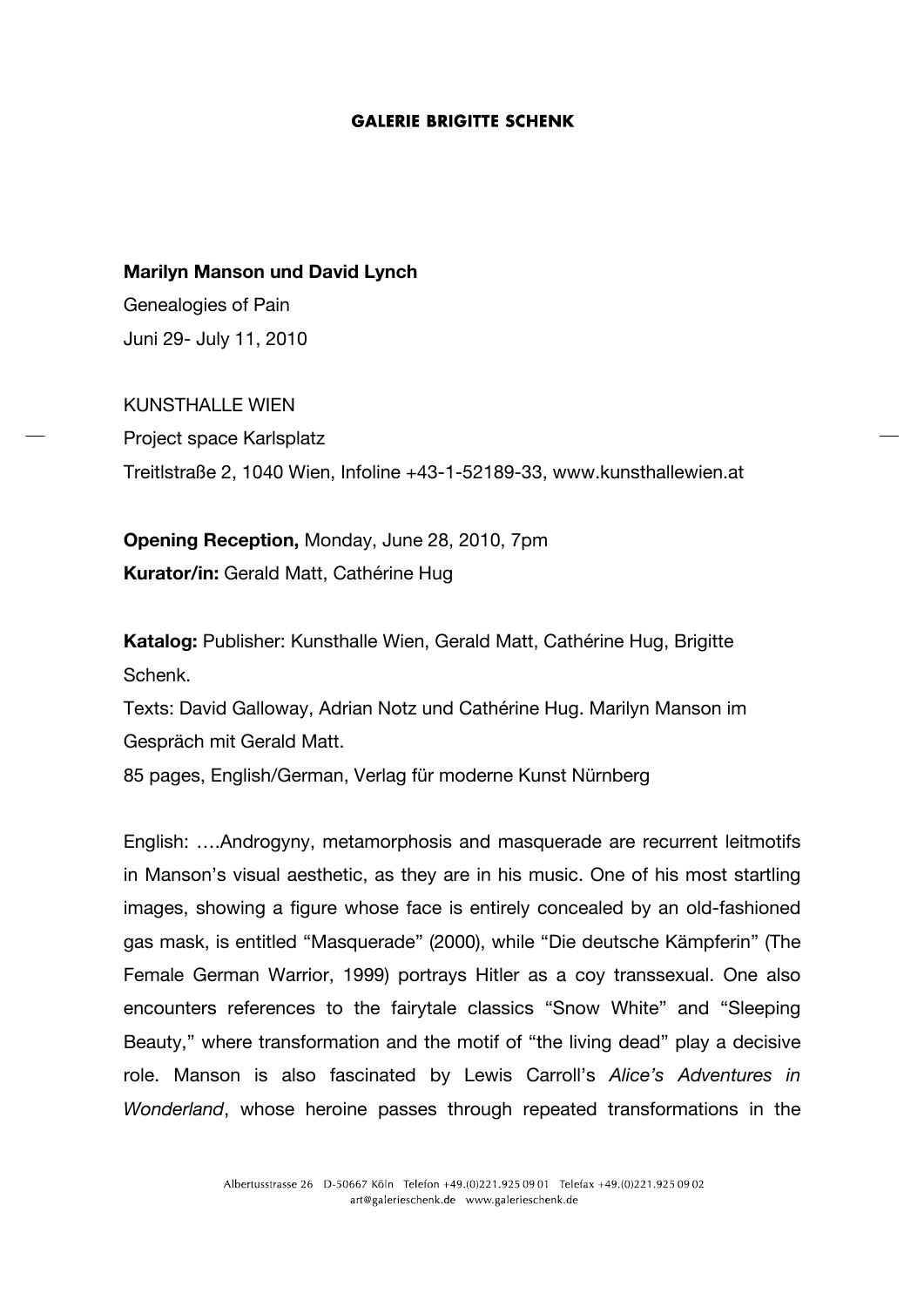### **Marilyn Manson und David Lynch**

Genealogies of Pain Juni 29- July 11, 2010

KUNSTHALLE WIEN Project space Karlsplatz Treitlstraße 2, 1040 Wien, Infoline +43-1-52189-33, www.kunsthallewien.at

**Opening Reception,** Monday, June 28, 2010, 7pm **Kurator/in:** Gerald Matt, Cathérine Hug

**Katalog:** Publisher: Kunsthalle Wien, Gerald Matt, Cathérine Hug, Brigitte Schenk.

Texts: David Galloway, Adrian Notz und Cathérine Hug. Marilyn Manson im Gespräch mit Gerald Matt.

85 pages, English/German, Verlag für moderne Kunst Nürnberg

English: ….Androgyny, metamorphosis and masquerade are recurrent leitmotifs in Manson's visual aesthetic, as they are in his music. One of his most startling images, showing a figure whose face is entirely concealed by an old-fashioned gas mask, is entitled "Masquerade" (2000), while "Die deutsche Kämpferin" (The Female German Warrior, 1999) portrays Hitler as a coy transsexual. One also encounters references to the fairytale classics "Snow White" and "Sleeping Beauty," where transformation and the motif of "the living dead" play a decisive role. Manson is also fascinated by Lewis Carroll's *Alice's Adventures in Wonderland*, whose heroine passes through repeated transformations in the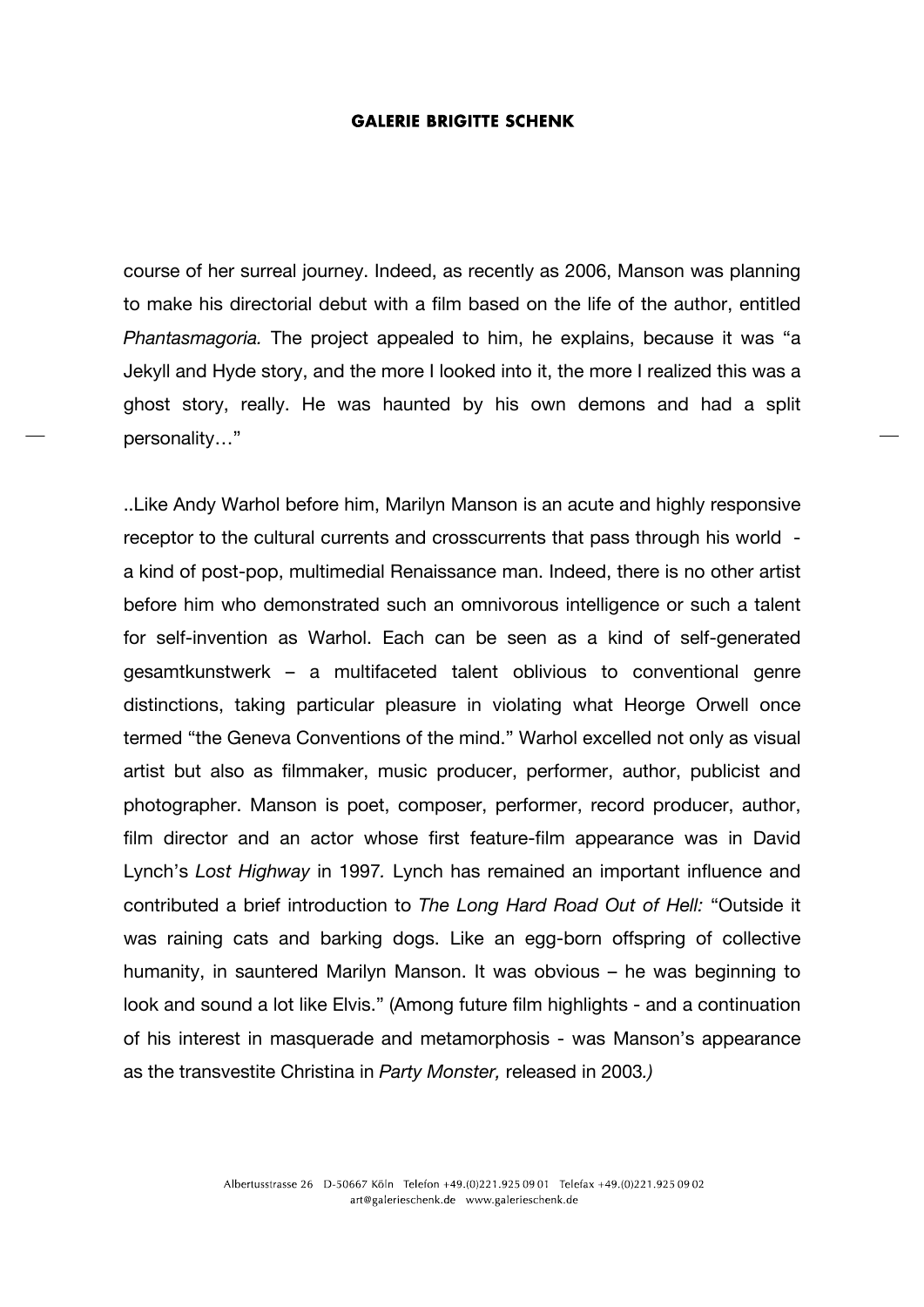course of her surreal journey. Indeed, as recently as 2006, Manson was planning to make his directorial debut with a film based on the life of the author, entitled *Phantasmagoria.* The project appealed to him, he explains, because it was "a Jekyll and Hyde story, and the more I looked into it, the more I realized this was a ghost story, really. He was haunted by his own demons and had a split personality…"

..Like Andy Warhol before him, Marilyn Manson is an acute and highly responsive receptor to the cultural currents and crosscurrents that pass through his world a kind of post-pop, multimedial Renaissance man. Indeed, there is no other artist before him who demonstrated such an omnivorous intelligence or such a talent for self-invention as Warhol. Each can be seen as a kind of self-generated gesamtkunstwerk – a multifaceted talent oblivious to conventional genre distinctions, taking particular pleasure in violating what Heorge Orwell once termed "the Geneva Conventions of the mind." Warhol excelled not only as visual artist but also as filmmaker, music producer, performer, author, publicist and photographer. Manson is poet, composer, performer, record producer, author, film director and an actor whose first feature-film appearance was in David Lynch's *Lost Highway* in 1997*.* Lynch has remained an important influence and contributed a brief introduction to *The Long Hard Road Out of Hell:* "Outside it was raining cats and barking dogs. Like an egg-born offspring of collective humanity, in sauntered Marilyn Manson. It was obvious – he was beginning to look and sound a lot like Elvis." (Among future film highlights - and a continuation of his interest in masquerade and metamorphosis - was Manson's appearance as the transvestite Christina in *Party Monster,* released in 2003*.)*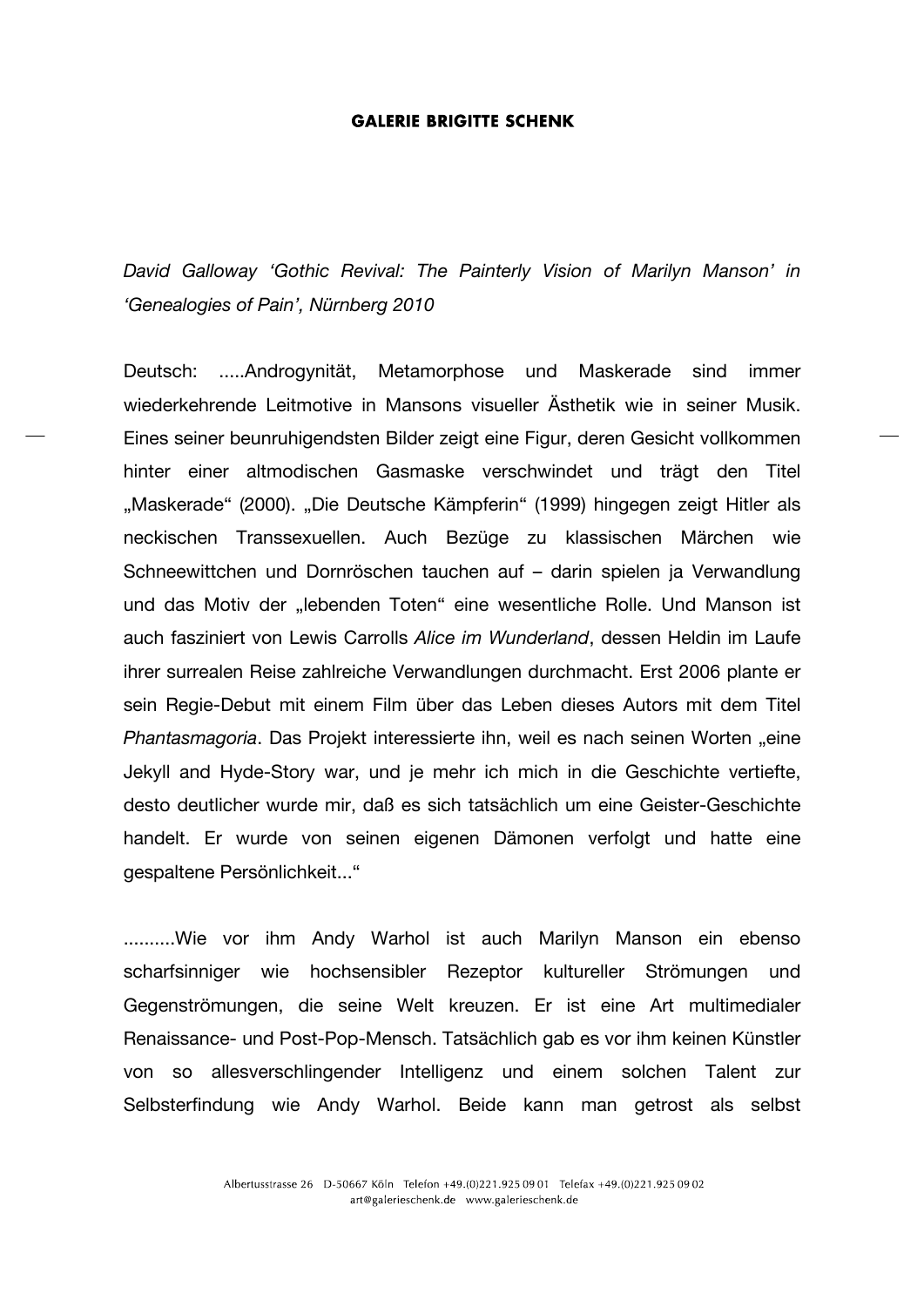*David Galloway 'Gothic Revival: The Painterly Vision of Marilyn Manson' in 'Genealogies of Pain', Nürnberg 2010*

Deutsch: .....Androgynität, Metamorphose und Maskerade sind immer wiederkehrende Leitmotive in Mansons visueller Ästhetik wie in seiner Musik. Eines seiner beunruhigendsten Bilder zeigt eine Figur, deren Gesicht vollkommen hinter einer altmodischen Gasmaske verschwindet und trägt den Titel "Maskerade" (2000). "Die Deutsche Kämpferin" (1999) hingegen zeigt Hitler als neckischen Transsexuellen. Auch Bezüge zu klassischen Märchen wie Schneewittchen und Dornröschen tauchen auf – darin spielen ja Verwandlung und das Motiv der "lebenden Toten" eine wesentliche Rolle. Und Manson ist auch fasziniert von Lewis Carrolls *Alice im Wunderland*, dessen Heldin im Laufe ihrer surrealen Reise zahlreiche Verwandlungen durchmacht. Erst 2006 plante er sein Regie-Debut mit einem Film über das Leben dieses Autors mit dem Titel *Phantasmagoria*. Das Projekt interessierte ihn, weil es nach seinen Worten "eine Jekyll and Hyde-Story war, und je mehr ich mich in die Geschichte vertiefte, desto deutlicher wurde mir, daß es sich tatsächlich um eine Geister-Geschichte handelt. Er wurde von seinen eigenen Dämonen verfolgt und hatte eine gespaltene Persönlichkeit..."

..........Wie vor ihm Andy Warhol ist auch Marilyn Manson ein ebenso scharfsinniger wie hochsensibler Rezeptor kultureller Strömungen und Gegenströmungen, die seine Welt kreuzen. Er ist eine Art multimedialer Renaissance- und Post-Pop-Mensch. Tatsächlich gab es vor ihm keinen Künstler von so allesverschlingender Intelligenz und einem solchen Talent zur Selbsterfindung wie Andy Warhol. Beide kann man getrost als selbst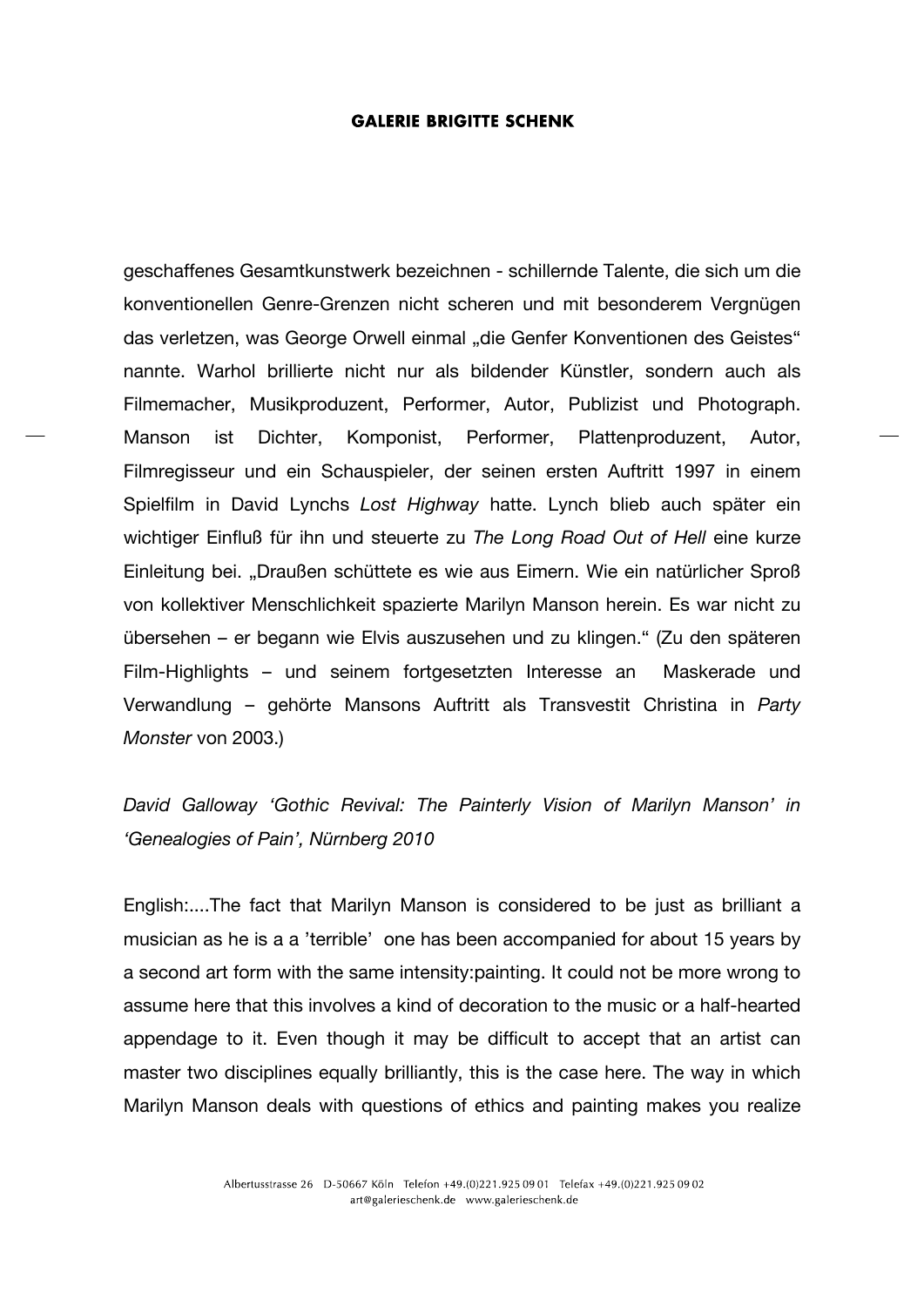geschaffenes Gesamtkunstwerk bezeichnen - schillernde Talente, die sich um die konventionellen Genre-Grenzen nicht scheren und mit besonderem Vergnügen das verletzen, was George Orwell einmal "die Genfer Konventionen des Geistes" nannte. Warhol brillierte nicht nur als bildender Künstler, sondern auch als Filmemacher, Musikproduzent, Performer, Autor, Publizist und Photograph. Manson ist Dichter, Komponist, Performer, Plattenproduzent, Autor, Filmregisseur und ein Schauspieler, der seinen ersten Auftritt 1997 in einem Spielfilm in David Lynchs *Lost Highway* hatte. Lynch blieb auch später ein wichtiger Einfluß für ihn und steuerte zu *The Long Road Out of Hell* eine kurze Einleitung bei. "Draußen schüttete es wie aus Eimern. Wie ein natürlicher Sproß von kollektiver Menschlichkeit spazierte Marilyn Manson herein. Es war nicht zu übersehen – er begann wie Elvis auszusehen und zu klingen." (Zu den späteren Film-Highlights – und seinem fortgesetzten Interesse an Maskerade und Verwandlung – gehörte Mansons Auftritt als Transvestit Christina in *Party Monster* von 2003.)

*David Galloway 'Gothic Revival: The Painterly Vision of Marilyn Manson' in 'Genealogies of Pain', Nürnberg 2010*

English:....The fact that Marilyn Manson is considered to be just as brilliant a musician as he is a a 'terrible' one has been accompanied for about 15 years by a second art form with the same intensity:painting. It could not be more wrong to assume here that this involves a kind of decoration to the music or a half-hearted appendage to it. Even though it may be difficult to accept that an artist can master two disciplines equally brilliantly, this is the case here. The way in which Marilyn Manson deals with questions of ethics and painting makes you realize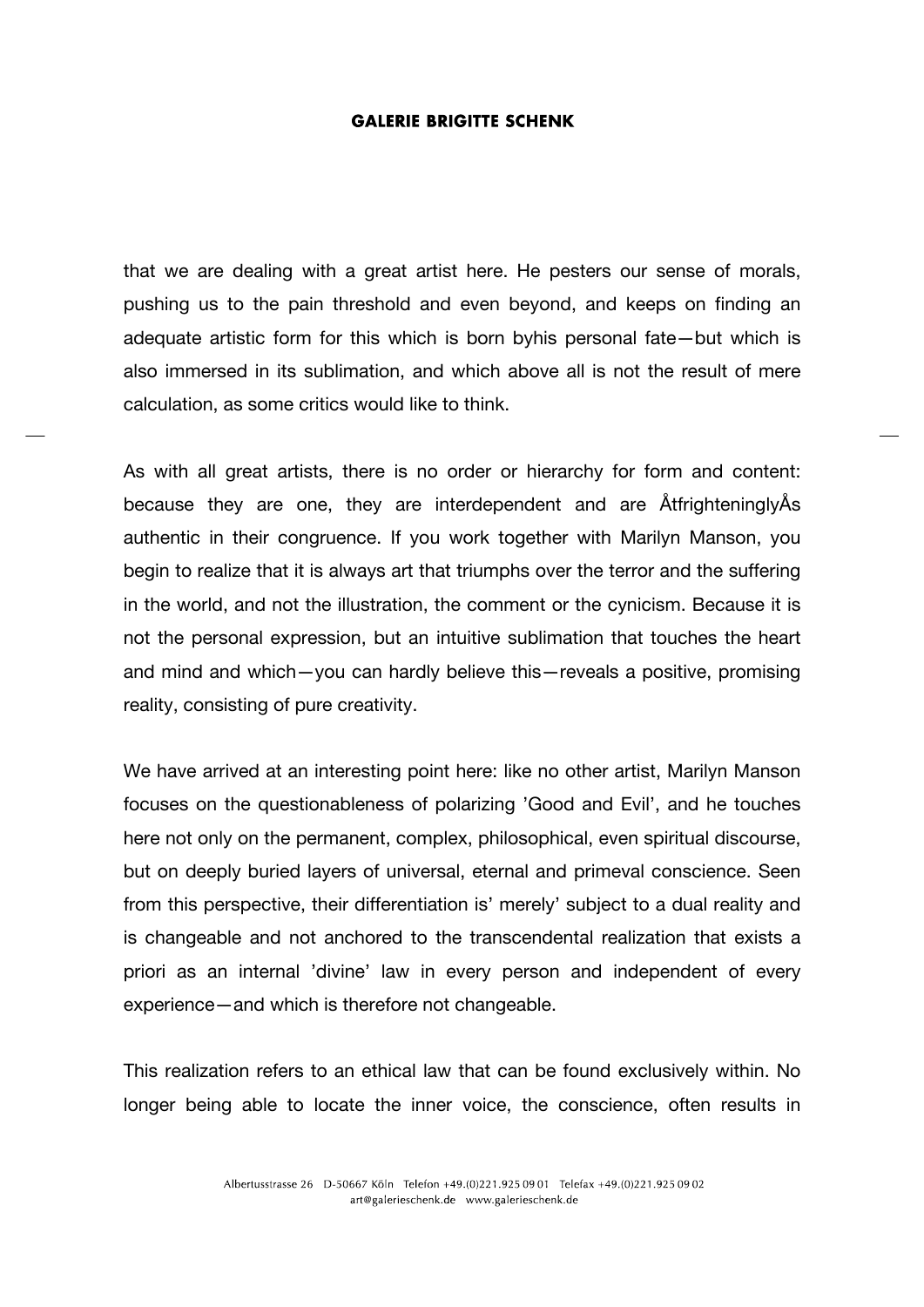that we are dealing with a great artist here. He pesters our sense of morals, pushing us to the pain threshold and even beyond, and keeps on finding an adequate artistic form for this which is born byhis personal fate—but which is also immersed in its sublimation, and which above all is not the result of mere calculation, as some critics would like to think.

As with all great artists, there is no order or hierarchy for form and content: because they are one, they are interdependent and are ÅtfrighteninglyÅs authentic in their congruence. If you work together with Marilyn Manson, you begin to realize that it is always art that triumphs over the terror and the suffering in the world, and not the illustration, the comment or the cynicism. Because it is not the personal expression, but an intuitive sublimation that touches the heart and mind and which—you can hardly believe this—reveals a positive, promising reality, consisting of pure creativity.

We have arrived at an interesting point here: like no other artist, Marilyn Manson focuses on the questionableness of polarizing 'Good and Evil', and he touches here not only on the permanent, complex, philosophical, even spiritual discourse, but on deeply buried layers of universal, eternal and primeval conscience. Seen from this perspective, their differentiation is' merely' subject to a dual reality and is changeable and not anchored to the transcendental realization that exists a priori as an internal 'divine' law in every person and independent of every experience—and which is therefore not changeable.

This realization refers to an ethical law that can be found exclusively within. No longer being able to locate the inner voice, the conscience, often results in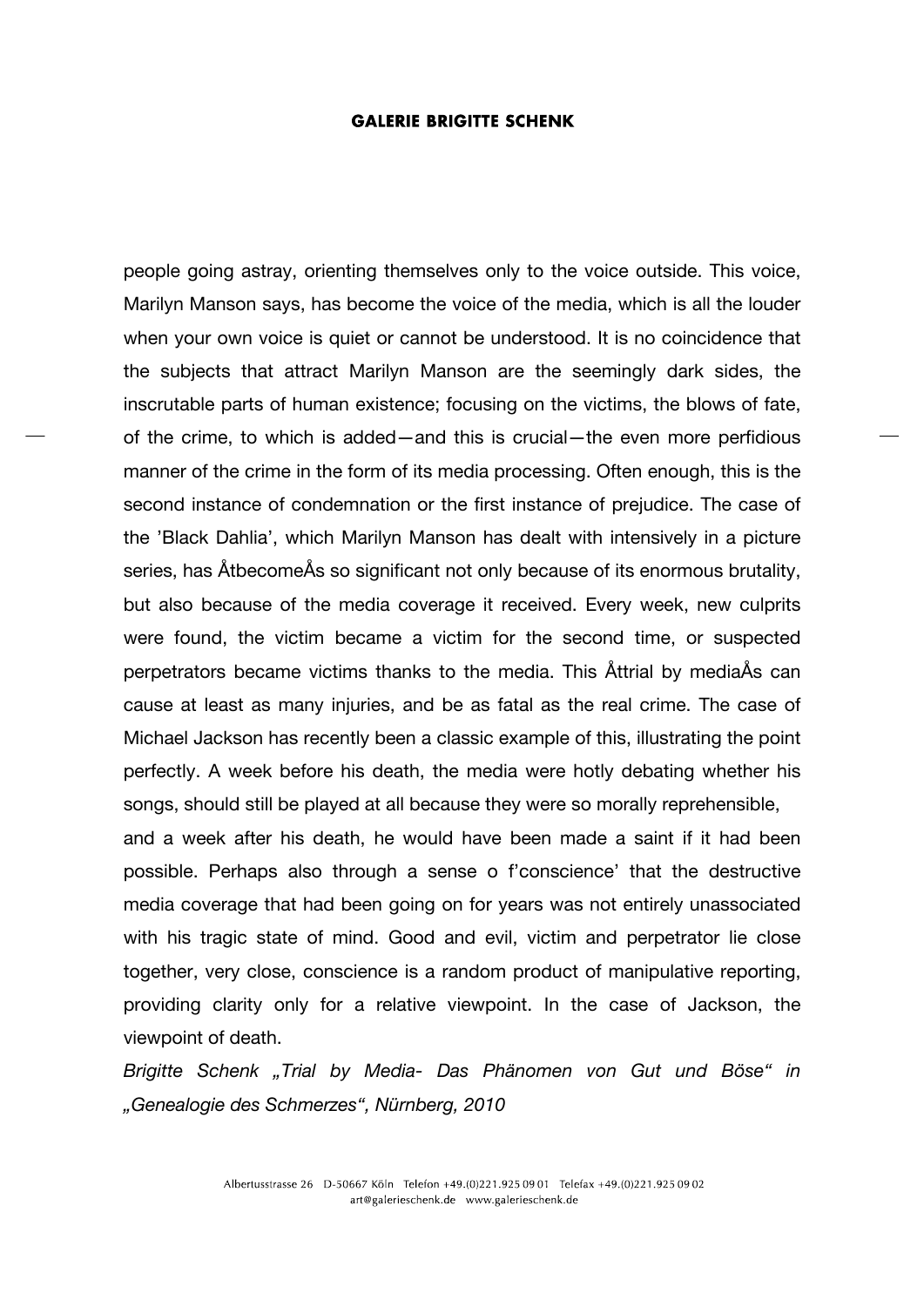people going astray, orienting themselves only to the voice outside. This voice, Marilyn Manson says, has become the voice of the media, which is all the louder when your own voice is quiet or cannot be understood. It is no coincidence that the subjects that attract Marilyn Manson are the seemingly dark sides, the inscrutable parts of human existence; focusing on the victims, the blows of fate, of the crime, to which is added—and this is crucial—the even more perfidious manner of the crime in the form of its media processing. Often enough, this is the second instance of condemnation or the first instance of prejudice. The case of the 'Black Dahlia', which Marilyn Manson has dealt with intensively in a picture series, has ÅtbecomeÅs so significant not only because of its enormous brutality, but also because of the media coverage it received. Every week, new culprits were found, the victim became a victim for the second time, or suspected perpetrators became victims thanks to the media. This Åttrial by mediaÅs can cause at least as many injuries, and be as fatal as the real crime. The case of Michael Jackson has recently been a classic example of this, illustrating the point perfectly. A week before his death, the media were hotly debating whether his songs, should still be played at all because they were so morally reprehensible, and a week after his death, he would have been made a saint if it had been

possible. Perhaps also through a sense o f'conscience' that the destructive media coverage that had been going on for years was not entirely unassociated with his tragic state of mind. Good and evil, victim and perpetrator lie close together, very close, conscience is a random product of manipulative reporting, providing clarity only for a relative viewpoint. In the case of Jackson, the viewpoint of death.

*Brigitte Schenk "Trial by Media- Das Phänomen von Gut und Böse" in "Genealogie des Schmerzes", Nürnberg, 2010*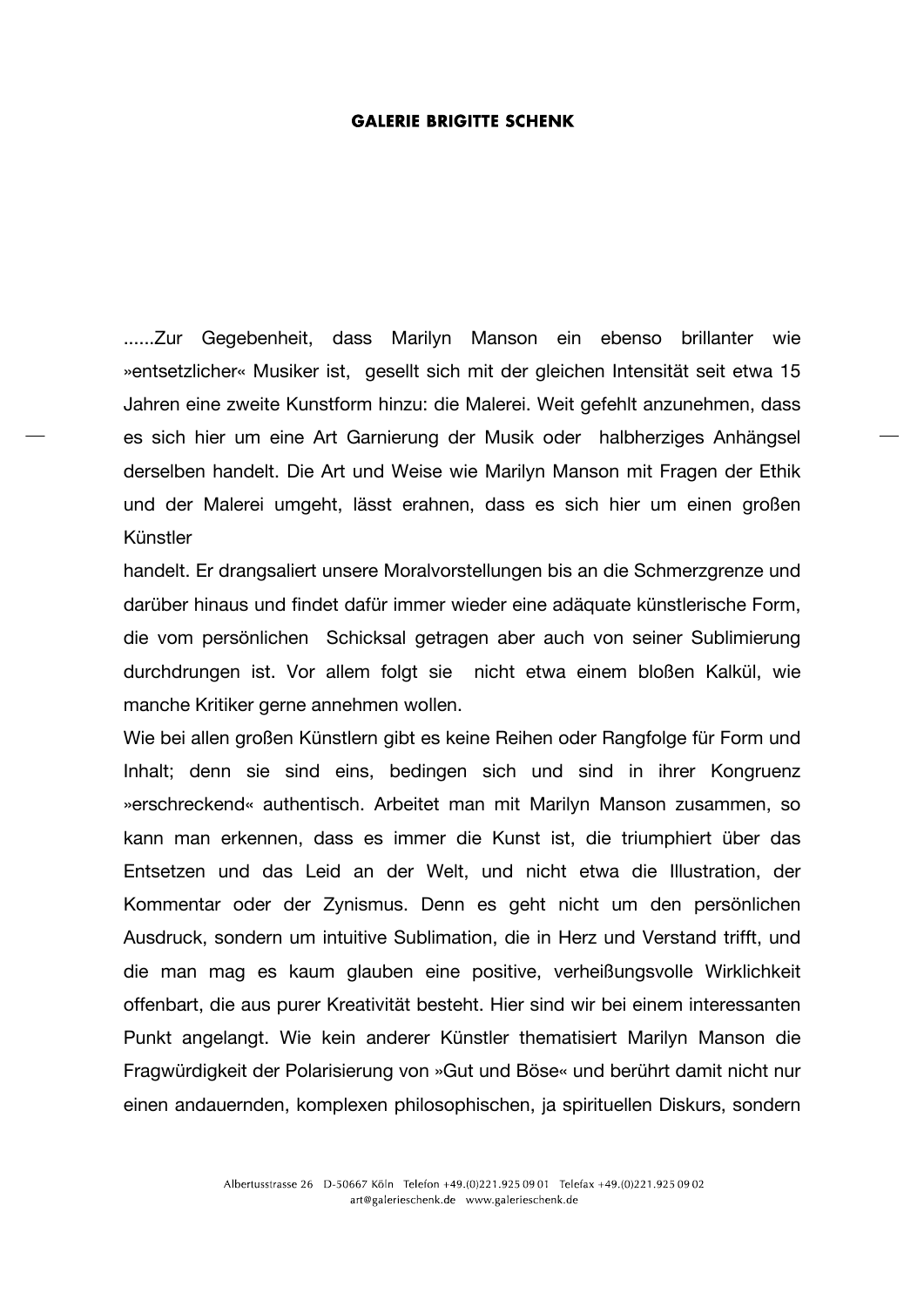......Zur Gegebenheit, dass Marilyn Manson ein ebenso brillanter wie »entsetzlicher« Musiker ist, gesellt sich mit der gleichen Intensität seit etwa 15 Jahren eine zweite Kunstform hinzu: die Malerei. Weit gefehlt anzunehmen, dass es sich hier um eine Art Garnierung der Musik oder halbherziges Anhängsel derselben handelt. Die Art und Weise wie Marilyn Manson mit Fragen der Ethik und der Malerei umgeht, lässt erahnen, dass es sich hier um einen großen Künstler

handelt. Er drangsaliert unsere Moralvorstellungen bis an die Schmerzgrenze und darüber hinaus und findet dafür immer wieder eine adäquate künstlerische Form, die vom persönlichen Schicksal getragen aber auch von seiner Sublimierung durchdrungen ist. Vor allem folgt sie nicht etwa einem bloßen Kalkül, wie manche Kritiker gerne annehmen wollen.

Wie bei allen großen Künstlern gibt es keine Reihen oder Rangfolge für Form und Inhalt; denn sie sind eins, bedingen sich und sind in ihrer Kongruenz »erschreckend« authentisch. Arbeitet man mit Marilyn Manson zusammen, so kann man erkennen, dass es immer die Kunst ist, die triumphiert über das Entsetzen und das Leid an der Welt, und nicht etwa die Illustration, der Kommentar oder der Zynismus. Denn es geht nicht um den persönlichen Ausdruck, sondern um intuitive Sublimation, die in Herz und Verstand trifft, und die man mag es kaum glauben eine positive, verheißungsvolle Wirklichkeit offenbart, die aus purer Kreativität besteht. Hier sind wir bei einem interessanten Punkt angelangt. Wie kein anderer Künstler thematisiert Marilyn Manson die Fragwürdigkeit der Polarisierung von »Gut und Böse« und berührt damit nicht nur einen andauernden, komplexen philosophischen, ja spirituellen Diskurs, sondern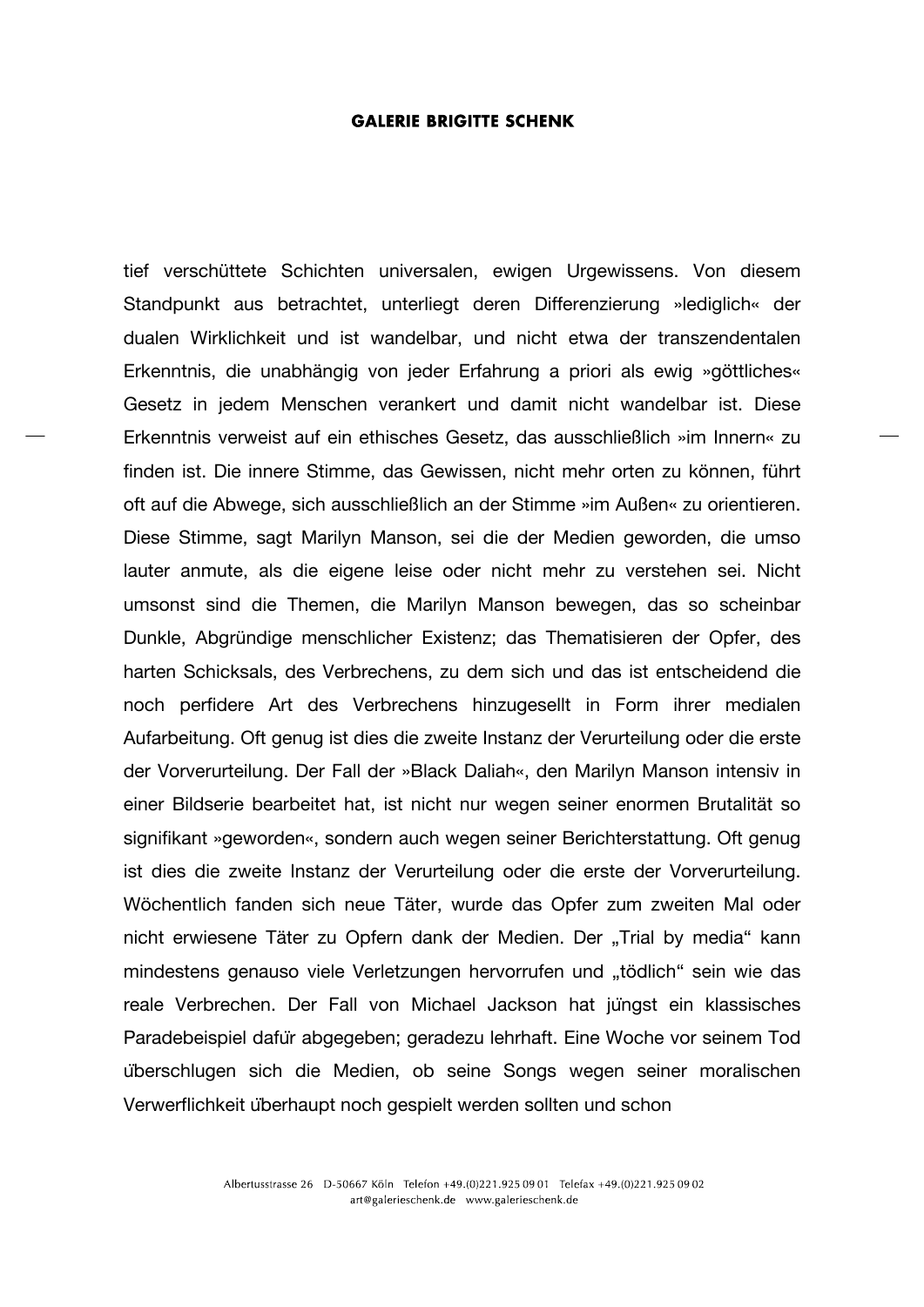tief verschüttete Schichten universalen, ewigen Urgewissens. Von diesem Standpunkt aus betrachtet, unterliegt deren Differenzierung »lediglich« der dualen Wirklichkeit und ist wandelbar, und nicht etwa der transzendentalen Erkenntnis, die unabhängig von jeder Erfahrung a priori als ewig »göttliches« Gesetz in jedem Menschen verankert und damit nicht wandelbar ist. Diese Erkenntnis verweist auf ein ethisches Gesetz, das ausschließlich »im Innern« zu finden ist. Die innere Stimme, das Gewissen, nicht mehr orten zu können, führt oft auf die Abwege, sich ausschließlich an der Stimme »im Außen« zu orientieren. Diese Stimme, sagt Marilyn Manson, sei die der Medien geworden, die umso lauter anmute, als die eigene leise oder nicht mehr zu verstehen sei. Nicht umsonst sind die Themen, die Marilyn Manson bewegen, das so scheinbar Dunkle, Abgründige menschlicher Existenz; das Thematisieren der Opfer, des harten Schicksals, des Verbrechens, zu dem sich und das ist entscheidend die noch perfidere Art des Verbrechens hinzugesellt in Form ihrer medialen Aufarbeitung. Oft genug ist dies die zweite Instanz der Verurteilung oder die erste der Vorverurteilung. Der Fall der »Black Daliah«, den Marilyn Manson intensiv in einer Bildserie bearbeitet hat, ist nicht nur wegen seiner enormen Brutalität so signifikant »geworden«, sondern auch wegen seiner Berichterstattung. Oft genug ist dies die zweite Instanz der Verurteilung oder die erste der Vorverurteilung. Wöchentlich fanden sich neue Täter, wurde das Opfer zum zweiten Mal oder nicht erwiesene Täter zu Opfern dank der Medien. Der "Trial by media" kann mindestens genauso viele Verletzungen hervorrufen und "tödlich" sein wie das reale Verbrechen. Der Fall von Michael Jackson hat jüngst ein klassisches Paradebeispiel dafür abgegeben; geradezu lehrhaft. Eine Woche vor seinem Tod überschlugen sich die Medien, ob seine Songs wegen seiner moralischen Verwerflichkeit überhaupt noch gespielt werden sollten und schon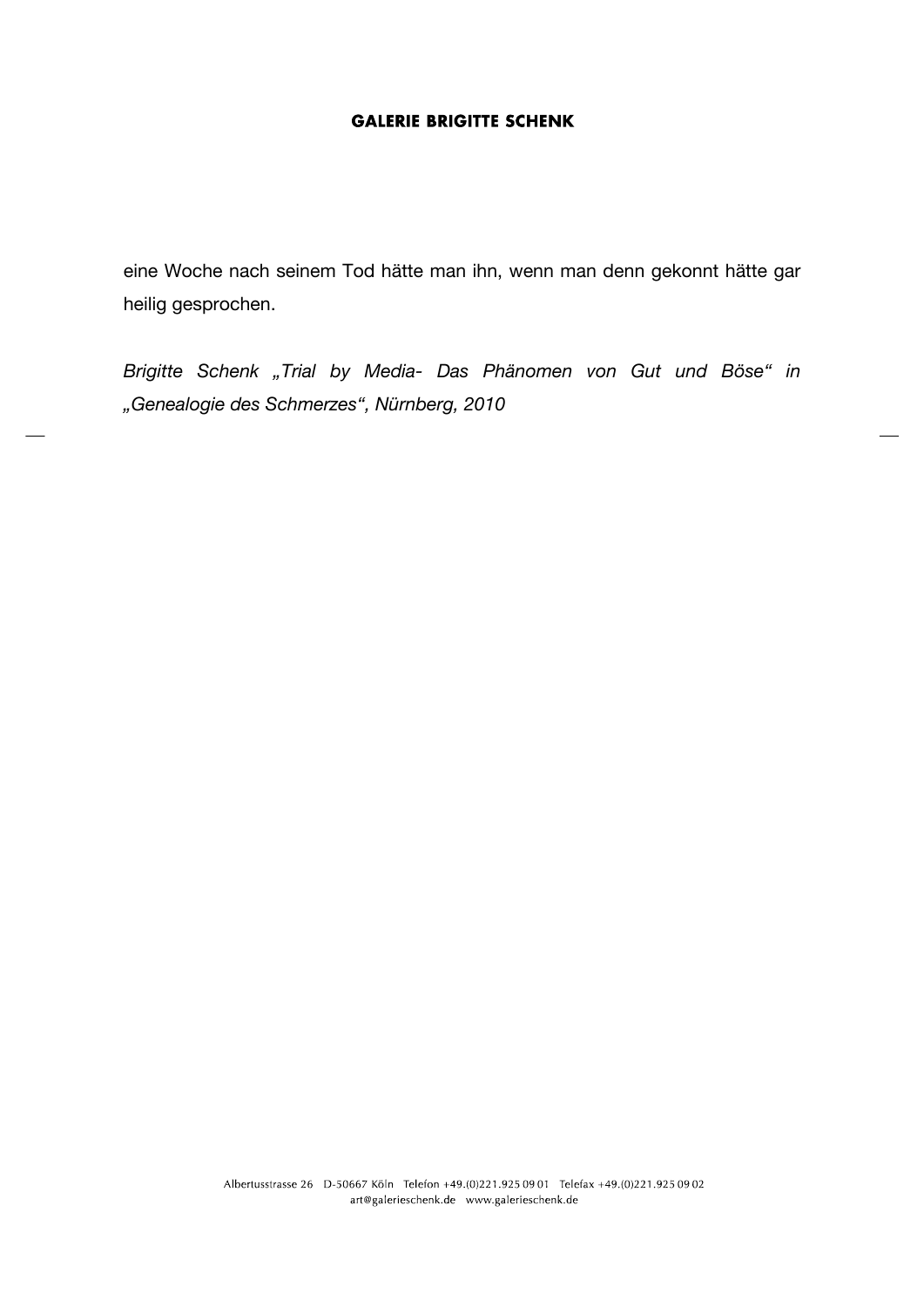eine Woche nach seinem Tod hätte man ihn, wenn man denn gekonnt hätte gar heilig gesprochen.

*Brigitte Schenk "Trial by Media- Das Phänomen von Gut und Böse" in "Genealogie des Schmerzes", Nürnberg, 2010*